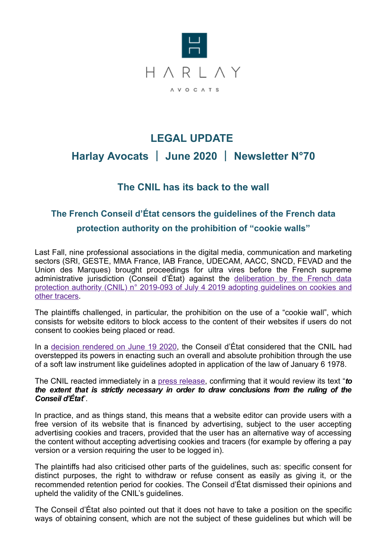

## **LEGAL UPDATE Harlay Avocats** | **June 2020** | **Newsletter N°70**

## **The CNIL has its back to the wall**

## **The French Conseil d'État censors the guidelines of the French data protection authority on the prohibition of "cookie walls"**

Last Fall, nine professional associations in the digital media, communication and marketing sectors (SRI, GESTE, MMA France, IAB France, UDECAM, AACC, SNCD, FEVAD and the Union des Marques) brought proceedings for ultra vires before the French supreme administrative jurisdiction (Conseil d'État) against the deliberation by the French data [protection authority \(CNIL\) n° 2019-093 of July 4 2019 adopting guidelines on cookies and](https://www.legifrance.gouv.fr/affichTexte.do?cidTexte=JORFTEXT000038783337) other tracers.

The plaintiffs challenged, in particular, the prohibition on the use of a "cookie wall", which consists for website editors to block access to the content of their websites if users do not consent to cookies being placed or read.

In a [decision rendered](https://www.conseil-etat.fr/ressources/decisions-contentieuses/dernieres-decisions-importantes/conseil-d-etat-19-juin-2020-lignes-directrices-de-la-cnil-relatives-aux-cookies-et-autres-traceurs-de-connexion) on June 19 2020, the Conseil d'État considered that the CNIL had overstepped its powers in enacting such an overall and absolute prohibition through the use of a soft law instrument like guidelines adopted in application of the law of January 6 1978.

The CNIL reacted immediately in a [press release](https://www.cnil.fr/fr/cookies-et-autres-traceurs-le-conseil-detat-rend-sa-decision-sur-les-lignes-directrices-de-la-cnil), confirming that it would review its text "*to the extent that is strictly necessary in order to draw conclusions from the ruling of the Conseil d'État*".

In practice, and as things stand, this means that a website editor can provide users with a free version of its website that is financed by advertising, subject to the user accepting advertising cookies and tracers, provided that the user has an alternative way of accessing the content without accepting advertising cookies and tracers (for example by offering a pay version or a version requiring the user to be logged in).

The plaintiffs had also criticised other parts of the guidelines, such as: specific consent for distinct purposes, the right to withdraw or refuse consent as easily as giving it, or the recommended retention period for cookies. The Conseil d'État dismissed their opinions and upheld the validity of the CNIL's guidelines.

The Conseil d'État also pointed out that it does not have to take a position on the specific ways of obtaining consent, which are not the subject of these guidelines but which will be